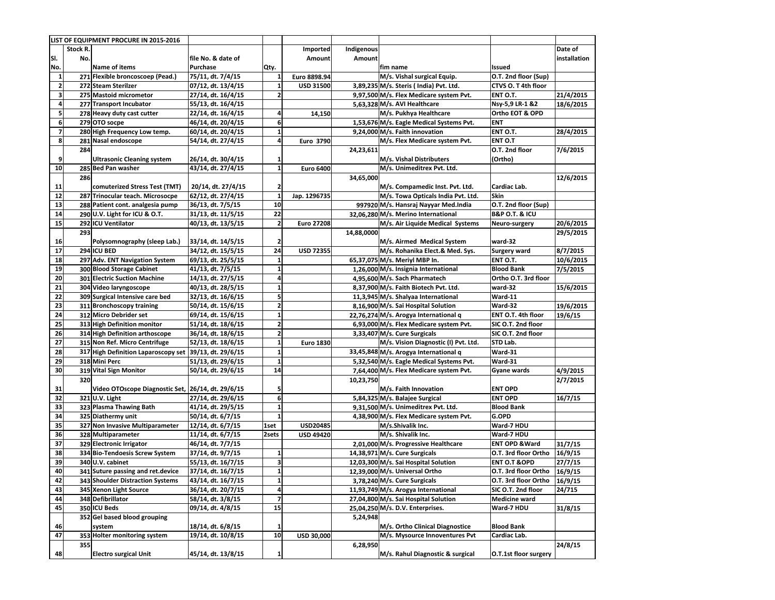|              |          | LIST OF EQUIPMENT PROCURE IN 2015-2016                 |                    |                         |                   |            |                                                                                  |                               |              |
|--------------|----------|--------------------------------------------------------|--------------------|-------------------------|-------------------|------------|----------------------------------------------------------------------------------|-------------------------------|--------------|
|              | Stock R. |                                                        |                    |                         | Imported          | Indigenous |                                                                                  |                               | Date of      |
| SI.          | No.      |                                                        | file No. & date of |                         | Amount            | Amount     |                                                                                  |                               | installation |
| No.          |          | Name of items                                          | Purchase           | Qty.                    |                   |            | fim name                                                                         | Issued                        |              |
| $\mathbf{1}$ |          | 271 Flexible broncoscoep (Pead.)                       | 75/11, dt. 7/4/15  | 1                       | Euro 8898.94      |            | M/s. Vishal surgical Equip.                                                      | O.T. 2nd floor (Sup)          |              |
| $\mathbf{2}$ |          | 272 Steam Sterilzer                                    | 07/12, dt. 13/4/15 | $\mathbf 1$             | <b>USD 31500</b>  |            | 3.89.235 M/s. Steris (India) Pvt. Ltd.                                           | CTVS O. T 4th floor           |              |
| 3            |          | 275 Mastoid micrometor                                 | 27/14, dt. 16/4/15 | $\overline{\mathbf{2}}$ |                   |            | 9,97,500 M/s. Flex Medicare system Pvt.                                          | ENT O.T.                      | 21/4/2015    |
| 4            |          | 277 Transport Incubator                                | 55/13, dt. 16/4/15 |                         |                   |            | 5,63,328 M/s. AVI Healthcare                                                     | Nsy-5,9 LR-1 &2               | 18/6/2015    |
| 5            |          | 278 Heavy duty cast cutter                             | 22/14, dt. 16/4/15 | 4                       | 14,150            |            | M/s. Pukhya Healthcare                                                           | Ortho EOT & OPD               |              |
| 6            |          | 279 OTO socpe                                          | 46/14, dt. 20/4/15 | 6                       |                   |            | 1,53,676 M/s. Eagle Medical Systems Pvt.                                         | <b>ENT</b>                    |              |
| 7            |          | 280 High Frequency Low temp.                           | 60/14, dt. 20/4/15 | $\mathbf{1}$            |                   |            | 9,24,000 M/s. Faith innovation                                                   | ENT O.T.                      | 28/4/2015    |
| 8            |          | 281 Nasal endoscope                                    | 54/14, dt. 27/4/15 | 4                       | <b>Euro 3790</b>  |            | M/s. Flex Medicare system Pvt.                                                   | ENT O.T                       |              |
|              | 284      |                                                        |                    |                         |                   | 24,23,611  |                                                                                  | O.T. 2nd floor                | 7/6/2015     |
| 9            |          | <b>Ultrasonic Cleaning system</b>                      | 26/14, dt. 30/4/15 | 1                       |                   |            | M/s. Vishal Distributers                                                         | (Ortho)                       |              |
| 10           |          | 285 Bed Pan washer                                     | 43/14, dt. 27/4/15 | $\mathbf{1}$            | <b>Euro 6400</b>  |            | M/s. Unimeditrex Pvt. Ltd.                                                       |                               |              |
|              | 286      |                                                        |                    |                         |                   | 34,65,000  |                                                                                  |                               | 12/6/2015    |
| 11           |          | comuterized Stress Test (TMT)                          | 20/14, dt. 27/4/15 | 2                       |                   |            | M/s. Compamedic Inst. Pvt. Ltd.                                                  | Cardiac Lab.                  |              |
| 12           |          | 287 Trinocular teach. Microsocpe                       | 62/12, dt. 27/4/15 | $\mathbf{1}$            | Jap. 1296735      |            | M/s. Towa Opticals India Pvt. Ltd.                                               | <b>Skin</b>                   |              |
| 13           |          | 288 Patient cont. analgesia pump                       | 36/13, dt. 7/5/15  | 10                      |                   |            | 997920 M/s. Hansraj Nayyar Med.India                                             | O.T. 2nd floor (Sup)          |              |
| 14           |          | 290 U.V. Light for ICU & O.T.                          | 31/13, dt. 11/5/15 | 22                      |                   |            | 32,06,280 M/s. Merino International                                              | <b>B&amp;P O.T. &amp; ICU</b> |              |
| 15           |          | 292 ICU Ventilator                                     | 40/13, dt. 13/5/15 | $\mathbf 2$             | <b>Euro 27208</b> |            | M/s. Air Liquide Medical Systems                                                 | Neuro-surgery                 | 20/6/2015    |
|              | 293      |                                                        |                    |                         |                   | 14,88,0000 |                                                                                  |                               | 29/5/2015    |
| 16           |          | Polysomnography (sleep Lab.)                           | 33/14, dt. 14/5/15 | 2                       |                   |            | M/s. Airmed Medical System                                                       | ward-32                       |              |
| 17           |          | 294 ICU BED                                            | 34/12, dt. 15/5/15 | 24                      | <b>USD 72355</b>  |            | M/s. Rohanika Elect.& Med. Sys.                                                  | <b>Surgery ward</b>           | 8/7/2015     |
| 18           |          | 297 Adv. ENT Navigation System                         | 69/13, dt. 25/5/15 | $\mathbf 1$             |                   |            | 65.37.075 M/s. Meriyl MBP In.                                                    | ENT O.T.                      | 10/6/2015    |
| 19           |          | 300 Blood Storage Cabinet                              | 41/13, dt. 7/5/15  | $\mathbf{1}$            |                   |            | 1,26,000 M/s. Insignia International                                             | <b>Blood Bank</b>             | 7/5/2015     |
| 20           |          | 301 Electric Suction Machine                           | 14/13, dt. 27/5/15 | 4                       |                   |            | 4,95,600 M/s. Sach Pharmatech                                                    | Ortho O.T. 3rd floor          |              |
| 21           |          | 304 Video laryngoscope                                 | 40/13, dt. 28/5/15 | $\mathbf{1}$            |                   |            | 8,37,900 M/s. Faith Biotech Pvt. Ltd.                                            | ward-32                       | 15/6/2015    |
| 22           |          | 309 Surgical Intensive care bed                        | 32/13, dt. 16/6/15 | 5                       |                   |            | 11,3,945 M/s. Shalyaa International                                              | Ward-11                       |              |
| 23           |          | 311 Bronchoscopy training                              | 50/14, dt. 15/6/15 | $\mathbf 2$             |                   |            | 8,16,900 M/s. Sai Hospital Solution                                              | Ward-32                       |              |
| 24           |          | 312 Micro Debrider set                                 |                    | $\mathbf 1$             |                   |            |                                                                                  | ENT O.T. 4th floor            | 19/6/2015    |
| 25           |          | 313 High Definition monitor                            | 69/14, dt. 15/6/15 | $\mathbf 2$             |                   |            | 22,76,274 M/s. Arogya International q<br>6,93,000 M/s. Flex Medicare system Pvt. | SIC O.T. 2nd floor            | 19/6/15      |
|              |          | 314 High Definition arthoscope                         | 51/14, dt. 18/6/15 | $\mathbf 2$             |                   |            | 3,33,407 M/s. Cure Surgicals                                                     | SIC O.T. 2nd floor            |              |
| 26<br>27     |          | 315 Non Ref. Micro Centrifuge                          | 36/14, dt. 18/6/15 | $\mathbf 1$             |                   |            |                                                                                  | STD Lab.                      |              |
|              |          |                                                        | 52/13, dt. 18/6/15 |                         | <b>Euro 1830</b>  |            | M/s. Vision Diagnostic (I) Pvt. Ltd.                                             |                               |              |
| 28           |          | 317 High Definition Laparoscopy set 39/13, dt. 29/6/15 |                    | $\mathbf{1}$            |                   |            | 33,45,848 M/s. Arogya International q                                            | Ward-31                       |              |
| 29           |          | 318 Mini Perc                                          | 51/13, dt. 29/6/15 | $\mathbf 1$             |                   |            | 5,32,540 M/s. Eagle Medical Systems Pvt.                                         | Ward-31                       |              |
| 30           |          | 319 Vital Sign Monitor                                 | 50/14, dt. 29/6/15 | 14                      |                   |            | 7,64,400 M/s. Flex Medicare system Pvt.                                          | Gyane wards                   | 4/9/2015     |
|              | 320      |                                                        |                    |                         |                   | 10,23,750  |                                                                                  |                               | 2/7/2015     |
| 31           |          | Video OTOscope Diagnostic Set, 26/14, dt. 29/6/15      |                    | 5                       |                   |            | M/s. Faith Innovation                                                            | <b>ENT OPD</b>                |              |
| 32           |          | 321 U.V. Light                                         | 27/14, dt. 29/6/15 | 6                       |                   |            | 5,84,325 M/s. Balajee Surgical                                                   | <b>ENT OPD</b>                | 16/7/15      |
| 33           |          | 323 Plasma Thawing Bath                                | 41/14, dt. 29/5/15 | $\mathbf 1$             |                   |            | 9,31,500 M/s. Unimeditrex Pvt. Ltd.                                              | <b>Blood Bank</b>             |              |
| 34           |          | 325 Diathermy unit                                     | 50/14, dt. 6/7/15  | $\mathbf{1}$            |                   |            | 4,38,900 M/s. Flex Medicare system Pvt.                                          | G.OPD                         |              |
| 35           |          | 327 Non Invasive Multiparameter                        | 12/14, dt. 6/7/15  | 1set                    | <b>USD20485</b>   |            | M/s.Shivalik Inc.                                                                | Ward-7 HDU                    |              |
| 36           |          | 328 Multiparameter                                     | 11/14, dt. 6/7/15  | 2sets                   | <b>USD 49420</b>  |            | M/s. Shivalik Inc.                                                               | Ward-7 HDU                    |              |
| 37           |          | 329 Electronic Irrigator                               | 46/14, dt. 7/7/15  |                         |                   |            | 2,01,000 M/s. Progressive Healthcare                                             | <b>ENT OPD &amp; Ward</b>     | 31/7/15      |
| 38           |          | 334 Bio-Tendoesis Screw System                         | 37/14, dt. 9/7/15  | 1                       |                   |            | 14,38,971 M/s. Cure Surgicals                                                    | O.T. 3rd floor Ortho          | 16/9/15      |
| 39           |          | 340 U.V. cabinet                                       | 55/13, dt. 16/7/15 | 3                       |                   |            | 12,03,300 M/s. Sai Hospital Solution                                             | <b>ENT O.T &amp; OPD</b>      | 27/7/15      |
| 40           |          | 341 Suture passing and ret.device                      | 37/14, dt. 16/7/15 | $\mathbf{1}$            |                   |            | 12,39,000 M/s. Universal Ortho                                                   | O.T. 3rd floor Ortho          | 16/9/15      |
| 42           |          | <b>343 Shoulder Distraction Systems</b>                | 43/14, dt. 16/7/15 | $\mathbf 1$             |                   |            | 3,78,240 M/s. Cure Surgicals                                                     | O.T. 3rd floor Ortho          | 16/9/15      |
| 43           |          | 345 Xenon Light Source                                 | 36/14, dt. 20/7/15 | 4                       |                   |            | 11,93,749 M/s. Arogya International                                              | SIC O.T. 2nd floor            | 24/715       |
| 44           |          | 348 Defibrillator                                      | 58/14, dt. 3/8/15  | $\overline{\mathbf{z}}$ |                   |            | 27,04,800 M/s. Sai Hospital Solution                                             | Medicine ward                 |              |
| 45           |          | 350 ICU Beds                                           | 09/14, dt. 4/8/15  | 15                      |                   |            | 25,04,250 M/s. D.V. Enterprises.                                                 | Ward-7 HDU                    | 31/8/15      |
|              |          | 352 Gel based blood grouping                           |                    |                         |                   | 5,24,948   |                                                                                  |                               |              |
| 46           |          | system                                                 | 18/14, dt. 6/8/15  | 1                       |                   |            | M/s. Ortho Clinical Diagnostice                                                  | <b>Blood Bank</b>             |              |
| 47           |          | 353 Holter monitoring system                           | 19/14, dt. 10/8/15 | 10                      | USD 30,000        |            | M/s. Mysource Innoventures Pvt                                                   | Cardiac Lab.                  |              |
|              | 355      |                                                        |                    |                         |                   | 6,28,950   |                                                                                  |                               | 24/8/15      |
| 48           |          | <b>Electro surgical Unit</b>                           | 45/14, dt. 13/8/15 | 1                       |                   |            | M/s. Rahul Diagnostic & surgical                                                 | O.T.1st floor surgery         |              |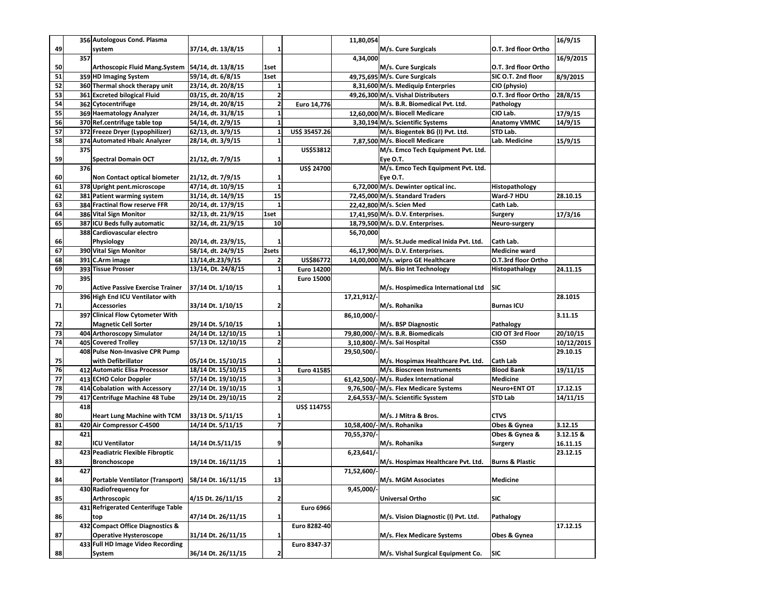|    |     | 356 Autologous Cond. Plasma            |                     |                         |                   | 11,80,054   |                                      |                            | 16/9/15    |
|----|-----|----------------------------------------|---------------------|-------------------------|-------------------|-------------|--------------------------------------|----------------------------|------------|
| 49 |     | system                                 | 37/14, dt. 13/8/15  | 1                       |                   |             | M/s. Cure Surgicals                  | O.T. 3rd floor Ortho       |            |
|    | 357 |                                        |                     |                         |                   | 4,34,000    |                                      |                            | 16/9/2015  |
| 50 |     | <b>Arthoscopic Fluid Mang.System</b>   | 54/14, dt. 13/8/15  | 1set                    |                   |             | M/s. Cure Surgicals                  | O.T. 3rd floor Ortho       |            |
| 51 |     | 359 HD Imaging System                  | 59/14, dt. 6/8/15   | 1set                    |                   |             | 49,75,695 M/s. Cure Surgicals        | SIC O.T. 2nd floor         | 8/9/2015   |
| 52 |     | 360 Thermal shock therapy unit         | 23/14, dt. 20/8/15  | 1                       |                   |             | 8,31,600 M/s. Mediquip Enterpries    | CIO (physio)               |            |
| 53 |     | 361 Excreted bilogical Fluid           | 03/15, dt. 20/8/15  | $\overline{\mathbf{2}}$ |                   |             | 49,26,300 M/s. Vishal Distributers   | O.T. 3rd floor Ortho       | 28/8/15    |
| 54 |     | 362 Cytocentrifuge                     | 29/14, dt. 20/8/15  | 2                       | Euro 14,776       |             | M/s. B.R. Biomedical Pvt. Ltd.       | Pathology                  |            |
| 55 |     | 369 Haematology Analyzer               | 24/14, dt. 31/8/15  | $\mathbf 1$             |                   |             | 12,60,000 M/s. Biocell Medicare      | CIO Lab.                   | 17/9/15    |
| 56 |     | 370 Ref.centrifuge table top           | 54/14, dt. 2/9/15   | $\mathbf 1$             |                   |             | 3,30,194 M/s. Scientific Systems     | <b>Anatomy VMMC</b>        | 14/9/15    |
| 57 |     | 372 Freeze Dryer (Lypophilizer)        | 62/13, dt. 3/9/15   | $\mathbf{1}$            | US\$ 35457.26     |             | M/s. Biogentek BG (I) Pvt. Ltd.      | STD Lab.                   |            |
| 58 |     | 374 Automated Hbalc Analyzer           | 28/14, dt. 3/9/15   | $\mathbf 1$             |                   |             | 7.87.500 M/s. Biocell Medicare       | Lab. Medicine              | 15/9/15    |
|    | 375 |                                        |                     |                         | US\$53812         |             | M/s. Emco Tech Equipment Pvt. Ltd.   |                            |            |
| 59 |     | <b>Spectral Domain OCT</b>             | 21/12, dt. 7/9/15   | 1                       |                   |             | Eye O.T.                             |                            |            |
|    | 376 |                                        |                     |                         | US\$ 24700        |             | M/s. Emco Tech Equipment Pvt. Ltd.   |                            |            |
| 60 |     | Non Contact optical biometer           | 21/12, dt. 7/9/15   | 1                       |                   |             | Eve O.T.                             |                            |            |
| 61 |     | 378 Upright pent.microscope            | 47/14, dt. 10/9/15  | $\mathbf{1}$            |                   |             | 6,72,000 M/s. Dewinter optical inc.  | Histopathology             |            |
| 62 |     | 381 Patient warming system             | 31/14, dt. 14/9/15  | 15                      |                   |             | 72,45,000 M/s. Standard Traders      | Ward-7 HDU                 | 28.10.15   |
| 63 |     | 384 Fractinal flow reserve FFR         | 20/14, dt. 17/9/15  | $\mathbf{1}$            |                   |             | 22,42,800 M/s. Scien Med             | Cath Lab.                  |            |
| 64 |     | 386 Vital Sign Monitor                 | 32/13, dt. 21/9/15  | 1set                    |                   |             | 17,41,950 M/s. D.V. Enterprises.     | <b>Surgery</b>             | 17/3/16    |
| 65 |     | 387 ICU Beds fully automatic           | 32/14, dt. 21/9/15  | 10                      |                   |             | 18,79,500 M/s. D.V. Enterprises.     | Neuro-surgery              |            |
|    |     | 388 Cardiovascular electro             |                     |                         |                   | 56,70,000   |                                      |                            |            |
| 66 |     | Physiology                             | 20/14, dt. 23/9/15, | 1                       |                   |             | M/s. St.Jude medical Inida Pvt. Ltd. | Cath Lab.                  |            |
| 67 |     | 390 Vital Sign Monitor                 | 58/14, dt. 24/9/15  | 2sets                   |                   |             | 46,17,900 M/s. D.V. Enterprises.     | <b>Medicine ward</b>       |            |
| 68 |     | 391 C.Arm image                        | 13/14, dt. 23/9/15  | 2                       | US\$86772         |             | 14.00.000 M/s. wipro GE Healthcare   | O.T.3rd floor Ortho        |            |
| 69 |     | 393 Tissue Prosser                     | 13/14, Dt. 24/8/15  | $\mathbf 1$             | <b>Euro 14200</b> |             | M/s. Bio Int Technology              | Histopathalogy             | 24.11.15   |
|    | 395 |                                        |                     |                         | <b>Euro 15000</b> |             |                                      |                            |            |
| 70 |     | <b>Active Passive Exercise Trainer</b> | 37/14 Dt. 1/10/15   | 1                       |                   |             | M/s. Hospimedica International Ltd   | SIC                        |            |
|    |     | 396 High End ICU Ventilator with       |                     |                         |                   | 17,21,912/  |                                      |                            | 28.1015    |
| 71 |     | <b>Accessories</b>                     | 33/14 Dt. 1/10/15   | 2                       |                   |             | M/s. Rohanika                        | <b>Burnas ICU</b>          |            |
|    |     | 397 Clinical Flow Cytometer With       |                     |                         |                   | 86,10,000/  |                                      |                            | 3.11.15    |
| 72 |     | <b>Magnetic Cell Sorter</b>            | 29/14 Dt. 5/10/15   | 1                       |                   |             | M/s. BSP Diagnostic                  | Pathalogy                  |            |
| 73 |     | 404 Arthoroscopy Simulator             | 24/14 Dt. 12/10/15  | $\mathbf 1$             |                   |             | 79,80,000/-M/s. B.R. Biomedicals     | CIO OT 3rd Floor           | 20/10/15   |
| 74 |     | <b>405 Covered Trolley</b>             | 57/13 Dt. 12/10/15  | 2                       |                   |             | 3,10,800/- M/s. Sai Hospital         | CSSD                       | 10/12/2015 |
|    |     | 408 Pulse Non-Invasive CPR Pump        |                     |                         |                   | 29,50,500/  |                                      |                            | 29.10.15   |
| 75 |     | with Defibrillator                     | 05/14 Dt. 15/10/15  | 1                       |                   |             | M/s. Hospimax Healthcare Pvt. Ltd.   | Cath Lab                   |            |
| 76 |     | 412 Automatic Elisa Processor          | 18/14 Dt. 15/10/15  | $\mathbf 1$             | <b>Euro 41585</b> |             | M/s. Bioscreen Instruments           | <b>Blood Bank</b>          | 19/11/15   |
| 77 |     | 413 ECHO Color Doppler                 | 57/14 Dt. 19/10/15  | 3                       |                   |             | 61,42,500/-M/s. Rudex International  | <b>Medicine</b>            |            |
| 78 |     | 414 Cobalation with Accessory          | 27/14 Dt. 19/10/15  | $\mathbf 1$             |                   |             | 9,76,500/-M/s. Flex Medicare Systems | Neuro+ENT OT               | 17.12.15   |
| 79 |     | 417 Centrifuge Machine 48 Tube         | 29/14 Dt. 29/10/15  | $\mathbf 2$             |                   |             | 2,64,553/-M/s. Scientific Sysstem    | STD Lab                    | 14/11/15   |
|    | 418 |                                        |                     |                         | US\$ 114755       |             |                                      |                            |            |
| 80 |     | <b>Heart Lung Machine with TCM</b>     | 33/13 Dt. 5/11/15   | 1                       |                   |             | M/s. J Mitra & Bros.                 | <b>CTVS</b>                |            |
| 81 |     | 420 Air Compressor C-4500              | 14/14 Dt. 5/11/15   | $\overline{\mathbf{z}}$ |                   |             | 10,58,400/- M/s. Rohanika            | Obes & Gynea               | 3.12.15    |
|    | 421 |                                        |                     |                         |                   | 70,55,370/  |                                      | Obes & Gynea &             | 3.12.15 &  |
| 82 |     | <b>ICU Ventilator</b>                  | 14/14 Dt.5/11/15    | 9                       |                   |             | M/s. Rohanika                        | Surgery                    | 16.11.15   |
|    |     | 423 Peadiatric Flexible Fibroptic      |                     |                         |                   | 6,23,641/   |                                      |                            | 23.12.15   |
| 83 |     | <b>Bronchoscope</b>                    | 19/14 Dt. 16/11/15  | 1                       |                   |             | M/s. Hospimax Healthcare Pvt. Ltd.   | <b>Burns &amp; Plastic</b> |            |
|    | 427 |                                        |                     |                         |                   | 71,52,600/- |                                      |                            |            |
| 84 |     | <b>Portable Ventilator (Transport)</b> | 58/14 Dt. 16/11/15  | 13                      |                   |             | M/s. MGM Associates                  | <b>Medicine</b>            |            |
|    |     | 430 Radiofrequency for                 |                     |                         |                   | 9,45,000/   |                                      |                            |            |
| 85 |     | Arthroscopic                           | 4/15 Dt. 26/11/15   | 2                       |                   |             | Universal Ortho                      | SIC                        |            |
|    |     | 431 Refrigerated Centerifuge Table     |                     |                         | <b>Euro 6966</b>  |             |                                      |                            |            |
| 86 |     | top                                    | 47/14 Dt. 26/11/15  | 1                       |                   |             | M/s. Vision Diagnostic (I) Pvt. Ltd. | Pathalogy                  |            |
|    |     | 432 Compact Office Diagnostics &       |                     |                         | Euro 8282-40      |             |                                      |                            | 17.12.15   |
| 87 |     | <b>Operative Hysteroscope</b>          | 31/14 Dt. 26/11/15  | 1                       |                   |             | M/s. Flex Medicare Systems           | Obes & Gynea               |            |
|    |     | 433 Full HD Image Video Recording      |                     |                         | Euro 8347-37      |             |                                      |                            |            |
| 88 |     | System                                 | 36/14 Dt. 26/11/15  | 2                       |                   |             | M/s. Vishal Surgical Equipment Co.   | SIC                        |            |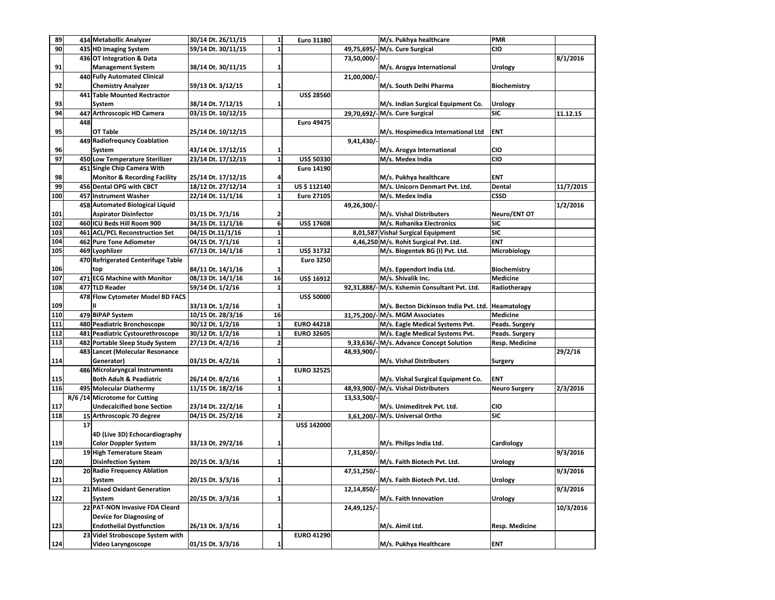| 89                |     | 434 Metabollic Analyzer                                | 30/14 Dt. 26/11/15 | 1                       | <b>Euro 31380</b> |             | M/s. Pukhya healthcare                              | <b>PMR</b>           |           |
|-------------------|-----|--------------------------------------------------------|--------------------|-------------------------|-------------------|-------------|-----------------------------------------------------|----------------------|-----------|
| 90                |     | 435 HD Imaging System                                  | 59/14 Dt. 30/11/15 | $\mathbf 1$             |                   |             | 49,75,695/- M/s. Cure Surgical                      | CIO                  |           |
|                   |     | 436 OT Integration & Data                              |                    |                         |                   | 73,50,000/  |                                                     |                      | 8/1/2016  |
| 91                |     | <b>Management System</b>                               | 38/14 Dt. 30/11/15 | 1                       |                   |             | M/s. Arogya International                           | Urology              |           |
|                   |     | 440 Fully Automated Clinical                           |                    |                         |                   | 21,00,000/  |                                                     |                      |           |
| 92                |     | <b>Chemistry Analyzer</b>                              | 59/13 Dt. 3/12/15  | 1                       |                   |             | M/s. South Delhi Pharma                             | <b>Biochemistry</b>  |           |
|                   |     | 441 Table Mounted Rectractor                           |                    |                         | US\$ 28560        |             |                                                     |                      |           |
| 93                |     | System                                                 | 38/14 Dt. 7/12/15  | 1                       |                   |             | M/s. Indian Surgical Equipment Co.                  | Urology              |           |
| 94                |     | 447 Arthroscopic HD Camera                             | 03/15 Dt. 10/12/15 |                         |                   |             | 29,70,692/- M/s. Cure Surgical                      | SIC                  | 11.12.15  |
|                   | 448 |                                                        |                    |                         | <b>Euro 49475</b> |             |                                                     |                      |           |
| 95                |     | OT Table                                               | 25/14 Dt. 10/12/15 |                         |                   |             | M/s. Hospimedica International Ltd                  | <b>ENT</b>           |           |
|                   |     | 449 Radiofrequncy Coablation                           |                    |                         |                   | 9,41,430/   |                                                     |                      |           |
| 96                |     | System                                                 | 43/14 Dt. 17/12/15 | 1                       |                   |             | M/s. Arogya International                           | CIO                  |           |
| 97                |     | 450 Low Temperature Sterilizer                         | 23/14 Dt. 17/12/15 | $\mathbf{1}$            | US\$ 50330        |             | M/s. Medex India                                    | CIO                  |           |
|                   |     | 451 Single Chip Camera With                            |                    |                         | <b>Euro 14190</b> |             |                                                     |                      |           |
|                   |     |                                                        |                    |                         |                   |             |                                                     | <b>ENT</b>           |           |
| 98                |     | <b>Monitor &amp; Recording Facility</b>                | 25/14 Dt. 17/12/15 | 4                       |                   |             | M/s. Pukhya healthcare                              |                      |           |
| 99                |     | 456 Dental OPG with CBCT                               | 18/12 Dt. 27/12/14 | $\mathbf 1$             | US \$112140       |             | M/s. Unicorn Denmart Pvt. Ltd.                      | Dental               | 11/7/2015 |
| 100               |     | 457 Instrument Washer                                  | 22/14 Dt. 11/1/16  | $\mathbf{1}$            | <b>Euro 27105</b> |             | M/s. Medex India                                    | <b>CSSD</b>          |           |
|                   |     | 458 Automated Biological Liquid                        |                    |                         |                   | 49,26,300/  |                                                     |                      | 1/2/2016  |
| 101               |     | <b>Aspirator Disinfector</b>                           | 01/15 Dt. 7/1/16   | 2                       |                   |             | M/s. Vishal Distributers                            | Neuro/ENT OT         |           |
| 102               |     | 460 ICU Beds Hill Room 900                             | 34/15 Dt. 11/1/16  | 6                       | <b>US\$ 17608</b> |             | M/s. Rohanika Electronics                           | <b>SIC</b>           |           |
| $\frac{103}{2}$   |     | 461 ACL/PCL Reconstruction Set                         | 04/15 Dt.11/1/16   | $\mathbf 1$             |                   |             | 8,01,587 Vishal Surgical Equipment                  | SIC                  |           |
| 104               |     | 462 Pure Tone Adiometer                                | 04/15 Dt. 7/1/16   | $\mathbf 1$             |                   |             | 4,46,250 M/s. Rohit Surgical Pvt. Ltd.              | ENT                  |           |
| 105               |     | 469 Lyophlizer                                         | 67/13 Dt. 14/1/16  | $\mathbf 1$             | US\$ 31732        |             | M/s. Biogentek BG (I) Pvt. Ltd.                     | Microbiology         |           |
|                   |     | 470 Refrigerated Centerifuge Table                     |                    |                         | <b>Euro 3250</b>  |             |                                                     |                      |           |
| 106               |     | top                                                    | 84/11 Dt. 14/1/16  | 1                       |                   |             | M/s. Eppendort India Ltd.                           | <b>Biochemistry</b>  |           |
| 107               |     | 471 ECG Machine with Monitor                           | 08/13 Dt. 14/1/16  | 16                      | US\$ 16912        |             | M/s. Shivalik Inc.                                  | <b>Medicine</b>      |           |
| 108               |     | 477 TLD Reader                                         | 59/14 Dt. 1/2/16   | $\mathbf{1}$            |                   |             | 92.31.888/-M/s. Kshemin Consultant Pvt. Ltd.        | Radiotherapy         |           |
|                   |     | 478 Flow Cytometer Model BD FACS                       |                    |                         | <b>US\$ 50000</b> |             |                                                     |                      |           |
| 109               |     | Ш                                                      | 33/13 Dt. 1/2/16   | 1                       |                   |             | M/s. Becton Dickinson India Pvt. Ltd.   Heamatology |                      |           |
| 110               |     | 479 BIPAP System                                       | 10/15 Dt. 28/3/16  | 16                      |                   |             | 31,75,200/-M/s. MGM Associates                      | <b>Medicine</b>      |           |
| 111               |     | 480 Peadiatric Bronchoscope                            | 30/12 Dt. 1/2/16   | $\overline{\mathbf{1}}$ | <b>EURO 44218</b> |             | M/s. Eagle Medical Systems Pvt.                     | Peads. Surgery       |           |
| 112               |     | 481 Peadiatric Cystourethroscope                       | 30/12 Dt. 1/2/16   | 1                       | <b>EURO 32605</b> |             | M/s. Eagle Medical Systems Pvt.                     | Peads. Surgery       |           |
| 113               |     | 482 Portable Sleep Study System                        | 27/13 Dt. 4/2/16   | 2                       |                   |             | 9,33,636/-M/s. Advance Concept Solution             | Resp. Medicine       |           |
|                   |     |                                                        |                    |                         |                   |             |                                                     |                      |           |
| 114               |     | 483 Lancet (Molecular Resonance                        |                    |                         |                   | 48,93,900/  |                                                     |                      | 29/2/16   |
|                   |     |                                                        |                    | 1                       |                   |             |                                                     |                      |           |
|                   |     | Generator)                                             | 03/15 Dt. 4/2/16   |                         | <b>EURO 32525</b> |             | M/s. Vishal Distributers                            | Surgery              |           |
|                   |     | 486 Microlaryngcal Instruments                         |                    |                         |                   |             |                                                     |                      |           |
| 115               |     | <b>Both Adult &amp; Peadiatric</b>                     | 26/14 Dt. 8/2/16   | 1                       |                   |             | M/s. Vishal Surgical Equipment Co.                  | ENT                  |           |
| $\frac{116}{116}$ |     | 495 Molecular Diathermy                                | 11/15 Dt. 18/2/16  | $\mathbf{1}$            |                   |             | 48,93,900/-M/s. Vishal Distributers                 | <b>Neuro Surgery</b> | 2/3/2016  |
|                   |     | R/6 /14 Microtome for Cutting                          |                    |                         |                   | 13,53,500/  |                                                     |                      |           |
| 117               |     | <b>Undecalcified bone Section</b>                      | 23/14 Dt. 22/2/16  | 1                       |                   |             | M/s. Unimeditrek Pvt. Ltd.                          | <b>CIO</b>           |           |
| 118               |     | 15 Arthroscopic 70 degree                              | 04/15 Dt. 25/2/16  | $\overline{\mathbf{2}}$ |                   |             | 3,61,200/- M/s. Universal Ortho                     | SIC                  |           |
|                   | 17  |                                                        |                    |                         | US\$ 142000       |             |                                                     |                      |           |
|                   |     | 4D (Live 3D) Echocardiography                          |                    |                         |                   |             |                                                     |                      |           |
| 119               |     | <b>Color Doppler System</b>                            | 33/13 Dt. 29/2/16  | 1                       |                   |             | M/s. Philips India Ltd.                             | Cardiology           |           |
|                   |     | 19 High Temerature Steam                               |                    |                         |                   | 7,31,850/   |                                                     |                      | 9/3/2016  |
| 120               |     | <b>Disinfection System</b>                             | 20/15 Dt. 3/3/16   | $\mathbf{1}$            |                   |             | M/s. Faith Biotech Pvt. Ltd.                        | Urology              |           |
|                   |     | 20 Radio Frequency Ablation                            |                    |                         |                   | 47,51,250/- |                                                     |                      | 9/3/2016  |
| 121               |     | System                                                 | 20/15 Dt. 3/3/16   | $\mathbf 1$             |                   |             | M/s. Faith Biotech Pvt. Ltd.                        | <b>Urology</b>       |           |
|                   |     | 21 Mixed Oxidant Generation                            |                    |                         |                   | 12,14,850/  |                                                     |                      | 9/3/2016  |
| 122               |     | System                                                 | 20/15 Dt. 3/3/16   | 1                       |                   |             | M/s. Faith Innovation                               | <b>Urology</b>       |           |
|                   |     | 22 PAT-NON Invasive FDA Cleard                         |                    |                         |                   | 24,49,125/  |                                                     |                      | 10/3/2016 |
|                   |     | Device for Diagnosing of                               |                    |                         |                   |             |                                                     |                      |           |
| 123               |     | <b>Endothelial Dystfunction</b>                        | 26/13 Dt. 3/3/16   | 1                       |                   |             | M/s. Aimil Ltd.                                     | Resp. Medicine       |           |
| 124               |     | 23 Videl Stroboscope System with<br>Video Laryngoscope | 01/15 Dt. 3/3/16   | 1                       | <b>EURO 41290</b> |             | M/s. Pukhya Healthcare                              | <b>ENT</b>           |           |